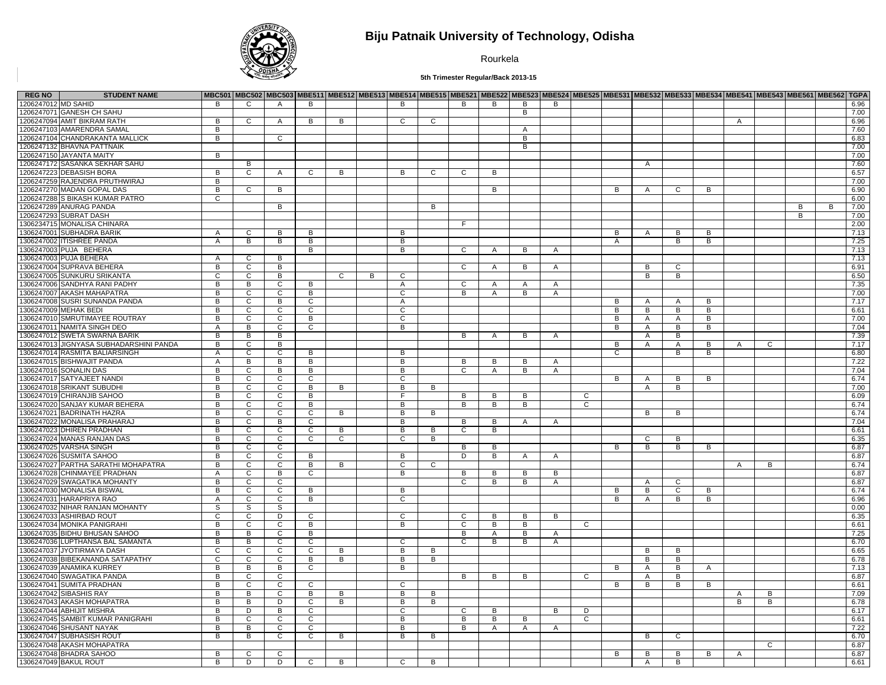

## **Biju Patnaik University of Technology, Odisha**

Rourkela

**5th Trimester Regular/Back 2013-15**

| <b>REG NO</b>       | <b>STUDENT NAME</b>                     |                |                |                |                |                |                |                |                |                |                |                |                | MBC501  MBC502  MBC503  MBE511  MBE512  MBE513  MBE513  MBE515  MBE521  MBE522  MBE523  MBE523  MBE525  MBE531  MBE532  MBE533  MBE534  MBE544  MBE543  MBE561  MBE562   MBE562   TGPA |                |                |              |   |   |              |                |   |      |
|---------------------|-----------------------------------------|----------------|----------------|----------------|----------------|----------------|----------------|----------------|----------------|----------------|----------------|----------------|----------------|----------------------------------------------------------------------------------------------------------------------------------------------------------------------------------------|----------------|----------------|--------------|---|---|--------------|----------------|---|------|
| 1206247012 MD SAHID |                                         | B              | C              | $\overline{A}$ | B              |                |                | B              |                | B              | B              | В              | B              |                                                                                                                                                                                        |                |                |              |   |   |              |                |   | 6.96 |
|                     | 1206247071 GANESH CH SAHU               |                |                |                |                |                |                |                |                |                |                | B              |                |                                                                                                                                                                                        |                |                |              |   |   |              |                |   | 7.00 |
|                     | 1206247094 AMIT BIKRAM RATH             | B              | C              | A              | B              | B              |                | C              | C              |                |                |                |                |                                                                                                                                                                                        |                |                |              |   | Α |              |                |   | 6.96 |
|                     | 1206247103 AMARENDRA SAMAL              | B              |                |                |                |                |                |                |                |                |                | A              |                |                                                                                                                                                                                        |                |                |              |   |   |              |                |   | 7.60 |
|                     | 1206247104 CHANDRAKANTA MALLICK         | $\overline{B}$ |                | $\overline{c}$ |                |                |                |                |                |                |                | в              |                |                                                                                                                                                                                        |                |                |              |   |   |              |                |   | 6.83 |
|                     | 1206247132 BHAVNA PATTNAIK              |                |                |                |                |                |                |                |                |                |                | B              |                |                                                                                                                                                                                        |                |                |              |   |   |              |                |   | 7.00 |
|                     | 1206247150 JAYANTA MAITY                | $\overline{B}$ |                |                |                |                |                |                |                |                |                |                |                |                                                                                                                                                                                        |                |                |              |   |   |              |                |   | 7.00 |
|                     |                                         |                |                |                |                |                |                |                |                |                |                |                |                |                                                                                                                                                                                        |                |                |              |   |   |              |                |   |      |
|                     | 1206247172 SASANKA SEKHAR SAHU          |                | B              |                |                |                |                |                |                |                |                |                |                |                                                                                                                                                                                        |                | A              |              |   |   |              |                |   | 7.60 |
|                     | 1206247223 DEBASISH BORA                | $\overline{B}$ | $\overline{c}$ | $\overline{A}$ | $\overline{c}$ | B              |                | $\overline{B}$ | $\overline{c}$ | $\overline{c}$ | в              |                |                |                                                                                                                                                                                        |                |                |              |   |   |              |                |   | 6.57 |
|                     | 1206247259 RAJENDRA PRUTHWIRAJ          | $\overline{B}$ |                |                |                |                |                |                |                |                |                |                |                |                                                                                                                                                                                        |                |                |              |   |   |              |                |   | 7.00 |
|                     | 1206247270 MADAN GOPAL DAS              | B              | C              | B              |                |                |                |                |                |                | B              |                |                |                                                                                                                                                                                        | B              | A              | C            | B |   |              |                |   | 6.90 |
|                     | 1206247288 S BIKASH KUMAR PATRO         | $\overline{c}$ |                |                |                |                |                |                |                |                |                |                |                |                                                                                                                                                                                        |                |                |              |   |   |              |                |   | 6.00 |
|                     | 1206247289 ANURAG PANDA                 |                |                | B              |                |                |                |                | B              |                |                |                |                |                                                                                                                                                                                        |                |                |              |   |   |              | B              | B | 7.00 |
|                     | 1206247293 SUBRAT DASH                  |                |                |                |                |                |                |                |                |                |                |                |                |                                                                                                                                                                                        |                |                |              |   |   |              | $\overline{B}$ |   | 7.00 |
|                     | 1306234715 MONALISA CHINARA             |                |                |                |                |                |                |                |                | F.             |                |                |                |                                                                                                                                                                                        |                |                |              |   |   |              |                |   | 2.00 |
|                     | 1306247001 SUBHADRA BARIK               | $\mathsf{A}$   | C              | B              | B              |                |                | B              |                |                |                |                |                |                                                                                                                                                                                        | B              | A              | в            | B |   |              |                |   | 7.13 |
|                     | 1306247002 ITISHREE PANDA               | $\overline{A}$ | B              | $\overline{B}$ | B              |                |                | B              |                |                |                |                |                |                                                                                                                                                                                        | $\overline{A}$ |                | B            | B |   |              |                |   | 7.25 |
|                     | 1306247003 PUJA BEHERA                  |                |                |                | B              |                |                | B              |                | $\mathsf{C}$   | $\mathsf{A}$   | B              | A              |                                                                                                                                                                                        |                |                |              |   |   |              |                |   | 7.13 |
|                     | 1306247003 PUJA BEHERA                  | $\overline{A}$ | C              | $\overline{B}$ |                |                |                |                |                |                |                |                |                |                                                                                                                                                                                        |                |                |              |   |   |              |                |   | 7.13 |
|                     | 1306247004 SUPRAVA BEHERA               | B              | C              | B              |                |                |                |                |                | C              | A              | B              | Α              |                                                                                                                                                                                        |                | В              | C            |   |   |              |                |   | 6.91 |
|                     | 1306247005 SUNKURU SRIKANTA             | $\overline{c}$ | $\overline{c}$ | $\overline{B}$ |                | $\overline{c}$ | $\overline{B}$ | $\overline{c}$ |                |                |                |                |                |                                                                                                                                                                                        |                | B              | B            |   |   |              |                |   | 6.50 |
|                     | 1306247006 SANDHYA RANI PADHY           | $\overline{B}$ | B              | $\overline{c}$ | В              |                |                | A              |                | C              | A              | Α              | Α              |                                                                                                                                                                                        |                |                |              |   |   |              |                |   | 7.35 |
|                     | 1306247007 AKASH MAHAPATRA              | $\overline{B}$ | $\overline{c}$ | $\overline{c}$ | $\overline{B}$ |                |                | $\overline{c}$ |                | $\overline{B}$ | $\overline{A}$ | $\overline{B}$ |                |                                                                                                                                                                                        |                |                |              |   |   |              |                |   | 7.00 |
|                     |                                         |                |                |                |                |                |                |                |                |                |                |                | A              |                                                                                                                                                                                        |                |                |              |   |   |              |                |   |      |
|                     | 1306247008 SUSRI SUNANDA PANDA          | B              | C              | B              | C              |                |                | A              |                |                |                |                |                |                                                                                                                                                                                        | B              | A              | A            | B |   |              |                |   | 7.17 |
|                     | 1306247009 MEHAK BEDI                   | B              | C              | C              | C              |                |                | C              |                |                |                |                |                |                                                                                                                                                                                        | B              | B              | В            | B |   |              |                |   | 6.61 |
|                     | 1306247010 SMRUTIMAYEE ROUTRAY          | B              | $\overline{c}$ | $\overline{c}$ | В              |                |                | $\overline{c}$ |                |                |                |                |                |                                                                                                                                                                                        | B              | Α              | A            | B |   |              |                |   | 7.00 |
|                     | 1306247011 NAMITA SINGH DEO             | $\mathsf{A}$   | B              | C              | C              |                |                | B              |                |                |                |                |                |                                                                                                                                                                                        | B              | $\overline{A}$ | В            | B |   |              |                |   | 7.04 |
|                     | 1306247012 SWETA SWARNA BARIK           | $\overline{B}$ | B              | B              |                |                |                |                |                | B              | $\mathsf{A}$   | B              | A              |                                                                                                                                                                                        |                | A              | В            |   |   |              |                |   | 7.39 |
|                     | 1306247013 JIGNYASA SUBHADARSHINI PANDA | B              | C              | B              |                |                |                |                |                |                |                |                |                |                                                                                                                                                                                        | В              | A              | A            | B | A | C            |                |   | 7.17 |
|                     | 1306247014 RASMITA BALIARSINGH          | A              | $\overline{c}$ | $\overline{c}$ | В              |                |                | B              |                |                |                |                |                |                                                                                                                                                                                        | $\overline{c}$ |                | B            | B |   |              |                |   | 6.80 |
|                     | 1306247015 BISHWAJIT PANDA              | $\mathsf{A}$   | B              | в              | B              |                |                | B              |                | B              | B              | B              | Α              |                                                                                                                                                                                        |                |                |              |   |   |              |                |   | 7.22 |
|                     | 1306247016 SONALIN DAS                  | $\overline{B}$ | $\mathsf{C}$   | $\overline{B}$ | B              |                |                | B              |                | C              | $\overline{A}$ | $\overline{B}$ | $\overline{A}$ |                                                                                                                                                                                        |                |                |              |   |   |              |                |   | 7.04 |
|                     | 1306247017 SATYAJEET NANDI              | в              | C              | $\overline{c}$ | C              |                |                | C              |                |                |                |                |                |                                                                                                                                                                                        | B              | A              | В            | B |   |              |                |   | 6.74 |
|                     | 1306247018 SRIKANT SUBUDHI              | B              | C.             | $\overline{c}$ | B              | B              |                | B              | B              |                |                |                |                |                                                                                                                                                                                        |                | $\overline{A}$ | B            |   |   |              |                |   | 7.00 |
|                     | 1306247019 CHIRANJIB SAHOO              | B              | C              | $\overline{c}$ | B              |                |                | F              |                | B              | в              | B              |                | C                                                                                                                                                                                      |                |                |              |   |   |              |                |   | 6.09 |
|                     | 1306247020 SANJAY KUMAR BEHERA          | B              | C              | C              | B              |                |                | B              |                | B              | B              | B              |                | C                                                                                                                                                                                      |                |                |              |   |   |              |                |   | 6.74 |
|                     | 1306247021 BADRINATH HAZRA              | B              | C              | $\overline{c}$ | C              | В              |                | B              | B              |                |                |                |                |                                                                                                                                                                                        |                | в              | в            |   |   |              |                |   | 6.74 |
|                     | 1306247022 MONALISA PRAHARAJ            | B              | $\overline{c}$ | в              | $\overline{c}$ |                |                | B              |                | B              | B              | A              | Α              |                                                                                                                                                                                        |                |                |              |   |   |              |                |   | 7.04 |
|                     | 1306247023 DHIREN PRADHAN               | $\overline{B}$ | C              | $\overline{c}$ | $\overline{C}$ | B              |                | B              | B              | C              | B              |                |                |                                                                                                                                                                                        |                |                |              |   |   |              |                |   | 6.61 |
|                     | 1306247024 MANAS RANJAN DAS             | $\overline{B}$ |                | $\overline{c}$ | $\overline{c}$ |                |                | $\overline{c}$ |                |                |                |                |                |                                                                                                                                                                                        |                | C              | B            |   |   |              |                |   | 6.35 |
|                     |                                         |                | С              |                |                | C              |                |                | B              |                |                |                |                |                                                                                                                                                                                        |                |                |              |   |   |              |                |   |      |
|                     | 1306247025 VARSHA SINGH                 | B              | C              | C              |                |                |                |                |                | B              | B              |                |                |                                                                                                                                                                                        | B              | B              | В            | B |   |              |                |   | 6.87 |
|                     | 1306247026 SUSMITA SAHOO                | в              | C              | $\overline{c}$ | В              |                |                | в              |                | D              | $\overline{B}$ | $\mathsf{A}$   | $\mathsf{A}$   |                                                                                                                                                                                        |                |                |              |   |   |              |                |   | 6.87 |
|                     | 1306247027 PARTHA SARATHI MOHAPATRA     | B              | C              | C              | B              | В              |                | C              | C              |                |                |                |                |                                                                                                                                                                                        |                |                |              |   | A | B            |                |   | 6.74 |
|                     | 1306247028 CHINMAYEE PRADHAN            | A              | С              | $\overline{B}$ | $\overline{c}$ |                |                | $\overline{B}$ |                | В              | B              | В              | B              |                                                                                                                                                                                        |                |                |              |   |   |              |                |   | 6.87 |
|                     | 1306247029 SWAGATIKA MOHANTY            | B              | C              | C              |                |                |                |                |                | C              | B              | B              | A              |                                                                                                                                                                                        |                | A              | C            |   |   |              |                |   | 6.87 |
|                     | 1306247030 MONALISA BISWAL              | $\overline{B}$ | $\overline{c}$ | $\overline{c}$ | В              |                |                | $\overline{B}$ |                |                |                |                |                |                                                                                                                                                                                        | В              | B              | C            | в |   |              |                |   | 6.74 |
|                     | 1306247031 HARAPRIYA RAO                | A              | $\overline{c}$ | $\overline{c}$ | B              |                |                | C              |                |                |                |                |                |                                                                                                                                                                                        | B              | Α              | В            | B |   |              |                |   | 6.96 |
|                     | 1306247032 NIHAR RANJAN MOHANTY         | S              | s              | S              |                |                |                |                |                |                |                |                |                |                                                                                                                                                                                        |                |                |              |   |   |              |                |   | 0.00 |
|                     | 1306247033 ASHIRBAD ROUT                | $\overline{c}$ | C              | D              | $\mathsf{C}$   |                |                | C              |                | C              | B              | B              | В              |                                                                                                                                                                                        |                |                |              |   |   |              |                |   | 6.35 |
|                     | 1306247034 MONIKA PANIGRAHI             | B              | C              | C              | В              |                |                | В              |                | C              | B              | В              |                | C                                                                                                                                                                                      |                |                |              |   |   |              |                |   | 6.61 |
|                     | 1306247035 BIDHU BHUSAN SAHOO           | $\overline{B}$ | B              | $\overline{c}$ | $\overline{B}$ |                |                |                |                | B              | A              | B              | Α              |                                                                                                                                                                                        |                |                |              |   |   |              |                |   | 7.25 |
|                     | 1306247036 LUPTHANSA BAL SAMANTA        | В              | В              | $\overline{c}$ | C              |                |                | $\overline{c}$ |                | C              | B              | В              | A              |                                                                                                                                                                                        |                |                |              |   |   |              |                |   | 6.70 |
|                     | 1306247037 JYOTIRMAYA DASH              | $\overline{c}$ | $\overline{c}$ | $\overline{c}$ | $\overline{c}$ | B              |                | $\overline{B}$ | В              |                |                |                |                |                                                                                                                                                                                        |                | в              | B            |   |   |              |                |   | 6.65 |
|                     | 1306247038 BIBEKANANDA SATAPATHY        | C              | C              | $\overline{c}$ | B              | В              |                | B              | B              |                |                |                |                |                                                                                                                                                                                        |                | B              | В            |   |   |              |                |   | 6.78 |
|                     | 1306247039 ANAMIKA KURREY               | B              | B              | B              | C              |                |                | В              |                |                |                |                |                |                                                                                                                                                                                        | B              | A              | B            | Α |   |              |                |   | 7.13 |
|                     | 1306247040 SWAGATIKA PANDA              | B              | C              | $\overline{c}$ |                |                |                |                |                | в              | B              | B              |                | $\overline{c}$                                                                                                                                                                         |                | Α              | В            |   |   |              |                |   | 6.87 |
|                     | 1306247041 SUMITA PRADHAN               | B              | C              | $\overline{c}$ | C              |                |                | C              |                |                |                |                |                |                                                                                                                                                                                        | B              | B              | В            | B |   |              |                |   | 6.61 |
|                     |                                         | $\overline{B}$ |                |                |                |                |                |                |                |                |                |                |                |                                                                                                                                                                                        |                |                |              |   |   |              |                |   | 7.09 |
|                     | 1306247042 SIBASHIS RAY                 |                | B              | $\overline{c}$ | B              | B              |                | B              | B              |                |                |                |                |                                                                                                                                                                                        |                |                |              |   | A | B.           |                |   |      |
|                     | 1306247043 AKASH MOHAPATRA              | B              | B              | D              | $\overline{c}$ | B              |                | B              | B              |                |                |                |                |                                                                                                                                                                                        |                |                |              |   | B | B            |                |   | 6.78 |
|                     | 1306247044 ABHIJIT MISHRA               | $\overline{B}$ | D              | $\overline{B}$ | $\overline{c}$ |                |                | $\overline{c}$ |                | C              | B              |                | B              | D                                                                                                                                                                                      |                |                |              |   |   |              |                |   | 6.17 |
|                     | 1306247045 SAMBIT KUMAR PANIGRAHI       | B              | C              | $\overline{c}$ | C              |                |                | B              |                | B              | B              | В              |                | C                                                                                                                                                                                      |                |                |              |   |   |              |                |   | 6.61 |
|                     | 1306247046 SHUSANT NAYAK                | B              | B              | C              | C              |                |                | B              |                | B              | A              | A              | $\mathsf{A}$   |                                                                                                                                                                                        |                |                |              |   |   |              |                |   | 7.22 |
|                     | 1306247047 SUBHASISH ROUT               | $\overline{B}$ | в              | $\overline{c}$ | C              | B              |                | В              | В              |                |                |                |                |                                                                                                                                                                                        |                | B              | C            |   |   |              |                |   | 6.70 |
|                     | 1306247048 AKASH MOHAPATRA              |                |                |                |                |                |                |                |                |                |                |                |                |                                                                                                                                                                                        |                |                |              |   |   | $\mathbf{C}$ |                |   | 6.87 |
|                     | 1306247048 BHADRA SAHOO                 | B              | C              | $\overline{c}$ |                |                |                |                |                |                |                |                |                |                                                                                                                                                                                        | В              | В              | В            | в | Α |              |                |   | 6.87 |
|                     | 1306247049 BAKUL ROUT                   | B.             | D.             | D.             | $\mathsf{C}$   | B.             |                | $\mathsf{C}$   | B.             |                |                |                |                |                                                                                                                                                                                        |                |                | <sub>R</sub> |   |   |              |                |   | 661  |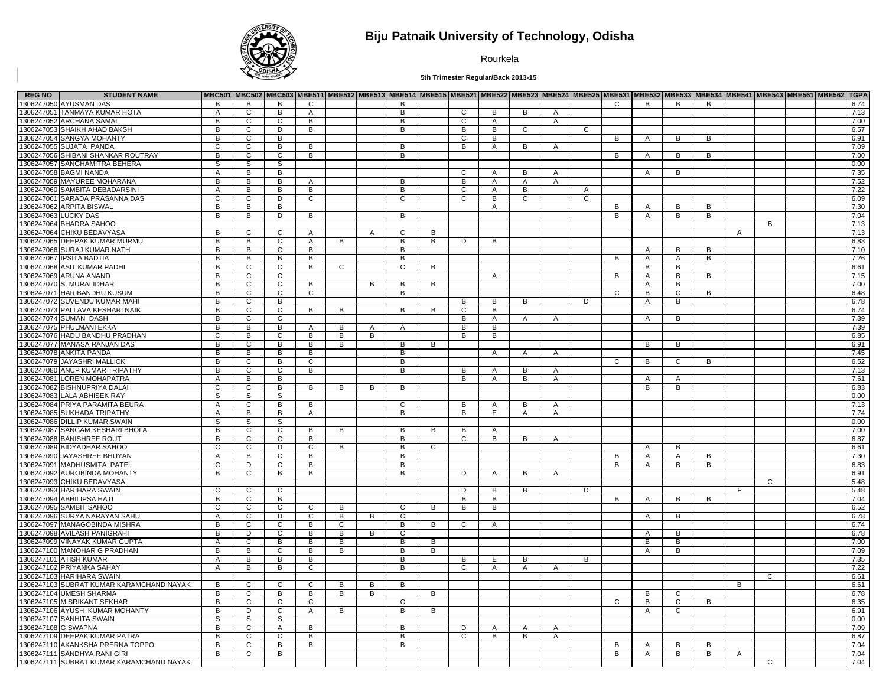

## **Biju Patnaik University of Technology, Odisha**

Rourkela

**5th Trimester Regular/Back 2013-15**

| <b>REG NO</b> | <b>STUDENT NAME</b>                      |                |                |                |                |              |                |                |   |              |                |                |                         |                |                |                |                |                |                |                | MBC501  MBC502  MBC503  MBE511  MBE512  MBE513  MBE513  MBE515  MBE521  MBE522  MBE523  MBE523  MBE525  MBE531  MBE532  MBE533  MBE534  MBE544  MBE543  MBE561  MBE562   MBE562   TGPA |      |
|---------------|------------------------------------------|----------------|----------------|----------------|----------------|--------------|----------------|----------------|---|--------------|----------------|----------------|-------------------------|----------------|----------------|----------------|----------------|----------------|----------------|----------------|----------------------------------------------------------------------------------------------------------------------------------------------------------------------------------------|------|
|               | 1306247050 AYUSMAN DAS                   | B              | B              | B              | $\mathbf{C}$   |              |                | B              |   |              |                |                |                         |                | $\mathsf{C}$   | B              | B              | B              |                |                |                                                                                                                                                                                        | 6.74 |
|               | 1306247051 TANMAYA KUMAR HOTA            | A              | $\mathsf{C}$   | $\overline{B}$ | A              |              |                | В              |   | С            | B              | B              | A                       |                |                |                |                |                |                |                |                                                                                                                                                                                        | 7.13 |
|               | 1306247052 ARCHANA SAMAL                 | B              | $\mathbf{C}$   | $\mathbf{C}$   | B              |              |                | B              |   | C.           | $\mathsf{A}$   |                | $\overline{A}$          |                |                |                |                |                |                |                |                                                                                                                                                                                        | 7.00 |
|               | 1306247053 SHAIKH AHAD BAKSH             | В              | $\overline{c}$ | $\overline{D}$ | $\overline{B}$ |              |                | в              |   | В            | $\overline{B}$ | $\overline{c}$ |                         | C              |                |                |                |                |                |                |                                                                                                                                                                                        | 6.57 |
|               | 1306247054 SANGYA MOHANTY                | B              | C              | B              |                |              |                |                |   | $\cap$       | B              |                |                         |                | B              | Α              | В              | B              |                |                |                                                                                                                                                                                        | 6.91 |
|               | 1306247055 SUJATA PANDA                  | C              |                | $\overline{B}$ | B.             |              |                | B              |   | В            | $\mathsf{A}$   |                |                         |                |                |                |                |                |                |                |                                                                                                                                                                                        | 7.09 |
|               | 1306247056 SHIBANI SHANKAR ROUTRAY       | B              | C<br>C         | $\overline{c}$ | B              |              |                | B              |   |              |                | B              | A                       |                | B              | $\overline{A}$ | B              | B              |                |                |                                                                                                                                                                                        | 7.00 |
|               |                                          |                |                |                |                |              |                |                |   |              |                |                |                         |                |                |                |                |                |                |                |                                                                                                                                                                                        |      |
|               | 1306247057 SANGHAMITRA BEHERA            | S              | S              | s              |                |              |                |                |   |              |                |                |                         |                |                |                |                |                |                |                |                                                                                                                                                                                        | 0.00 |
|               | 1306247058 BAGMI NANDA                   | Α              | В              | $\overline{B}$ |                |              |                |                |   | C            | A              | B              | $\mathsf{A}$            |                |                | A              | $\overline{B}$ |                |                |                |                                                                                                                                                                                        | 7.35 |
|               | 1306247059 MAYUREE MOHARANA              | B              | В              | $\overline{B}$ | A              |              |                | B              |   | B            | $\overline{A}$ | $\mathsf{A}$   | A                       |                |                |                |                |                |                |                |                                                                                                                                                                                        | 7.52 |
|               | 1306247060 SAMBITA DEBADARSINI           | A              | В              | $\overline{B}$ | B              |              |                | В              |   | С            | A              | B              |                         | A              |                |                |                |                |                |                |                                                                                                                                                                                        | 7.22 |
|               | 1306247061 SARADA PRASANNA DAS           | $\overline{c}$ | $\overline{c}$ | $\overline{D}$ | $\overline{c}$ |              |                | $\overline{c}$ |   | C            | $\overline{B}$ | $\overline{c}$ |                         | $\overline{c}$ |                |                |                |                |                |                |                                                                                                                                                                                        | 6.09 |
|               | 1306247062 ARPITA BISWAL                 | В              | B              | в              |                |              |                |                |   |              | $\overline{A}$ |                |                         |                | в              | A              | В              | Б              |                |                |                                                                                                                                                                                        | 7.30 |
|               | 1306247063 LUCKY DAS                     | B              | B              | D              | B              |              |                | B              |   |              |                |                |                         |                | B              | $\overline{A}$ | B              | B              |                |                |                                                                                                                                                                                        | 7.04 |
|               | 1306247064 BHADRA SAHOO                  |                |                |                |                |              |                |                |   |              |                |                |                         |                |                |                |                |                |                | B              |                                                                                                                                                                                        | 7.13 |
|               | 1306247064 CHIKU BEDAVYASA               | B              | C              | $\mathsf{C}$   | $\mathsf{A}$   |              | $\overline{A}$ | $\mathsf{C}$   | B |              |                |                |                         |                |                |                |                |                | $\overline{A}$ |                |                                                                                                                                                                                        | 7.13 |
|               | 1306247065 DEEPAK KUMAR MURMU            | В              | B              | $\overline{c}$ | A              | В            |                | $\overline{B}$ | В | D            | B              |                |                         |                |                |                |                |                |                |                |                                                                                                                                                                                        | 6.83 |
|               | 1306247066 SURAJ KUMAR NATH              | B              | B              | $\mathsf{C}$   | B              |              |                | B              |   |              |                |                |                         |                |                | $\overline{A}$ | B              | B              |                |                |                                                                                                                                                                                        | 7.10 |
|               | 1306247067 IPSITA BADTIA                 | В              | В              | $\overline{B}$ | B              |              |                | В              |   |              |                |                |                         |                | B              | A              | A              | B              |                |                |                                                                                                                                                                                        | 7.26 |
|               | 1306247068 ASIT KUMAR PADHI              | B              | $\mathbf{C}$   | $\overline{c}$ | B              | $\mathbf{C}$ |                | $\mathsf{C}$   | B |              |                |                |                         |                |                | B              | B              |                |                |                |                                                                                                                                                                                        | 6.61 |
|               | 1306247069 ARUNA ANAND                   | B              | $\mathsf{C}$   | $\overline{c}$ |                |              |                |                |   |              | $\overline{A}$ |                |                         |                | в              | Α              | В              | в              |                |                |                                                                                                                                                                                        | 7.15 |
|               | 1306247070 S. MURALIDHAR                 | В              | C              | C              | B              |              | В              | В              | В |              |                |                |                         |                |                | Α              | В              |                |                |                |                                                                                                                                                                                        | 7.00 |
|               | 1306247071 HARIBANDHU KUSUM              | $\overline{B}$ | $\mathsf{C}$   | $\overline{c}$ | $\overline{c}$ |              |                | $\overline{B}$ |   |              |                |                |                         |                | $\overline{c}$ | B              | $\overline{c}$ | B              |                |                |                                                                                                                                                                                        | 6.48 |
|               | 1306247072 SUVENDU KUMAR MAHI            | В              | C              | B              |                |              |                |                |   | В            | B              | B              |                         | D              |                | A              | B              |                |                |                |                                                                                                                                                                                        | 6.78 |
|               | 1306247073 PALLAVA KESHARI NAIK          | B              | C              | $\overline{c}$ | B              | B            |                | B              | B | C            | B              |                |                         |                |                |                |                |                |                |                |                                                                                                                                                                                        | 6.74 |
|               | 1306247074 SUMAN DASH                    | $\overline{B}$ | $\mathsf{C}$   | $\overline{c}$ |                |              |                |                |   | B            | A              | A              | $\overline{\mathsf{A}}$ |                |                | $\overline{A}$ | $\overline{B}$ |                |                |                |                                                                                                                                                                                        | 7.39 |
|               | 1306247075 PHULMANI EKKA                 | B              | B              | $\overline{B}$ | A              | В            | A              | $\mathsf{A}$   |   | B            | B              |                |                         |                |                |                |                |                |                |                |                                                                                                                                                                                        | 7.39 |
|               | 1306247076 HADU BANDHU PRADHAN           | C              | B              | $\overline{c}$ | B              | B            | B              |                |   | B            | B              |                |                         |                |                |                |                |                |                |                |                                                                                                                                                                                        | 6.85 |
|               | 1306247077 MANASA RANJAN DAS             | B              | $\overline{c}$ | $\overline{B}$ | $\overline{B}$ | B            |                | B              | B |              |                |                |                         |                |                | B              | B              |                |                |                |                                                                                                                                                                                        | 6.91 |
|               | 1306247078 ANKITA PANDA                  | В              | B              | B              | B              |              |                | B              |   |              | $\mathsf{A}$   |                | $\mathsf{A}$            |                |                |                |                |                |                |                |                                                                                                                                                                                        | 7.45 |
|               | 1306247079 JAYASHRI MALLICK              | В              |                | $\overline{B}$ | $\overline{c}$ |              |                | $\overline{B}$ |   |              |                | Α              |                         |                | $\overline{c}$ | B              | C              | $\overline{B}$ |                |                |                                                                                                                                                                                        | 6.52 |
|               |                                          | B              | C              |                |                |              |                |                |   |              |                |                |                         |                |                |                |                |                |                |                |                                                                                                                                                                                        |      |
|               | 1306247080 ANUP KUMAR TRIPATHY           |                | C              | $\mathsf{C}$   | B              |              |                | B              |   | B            | A              | B              | A                       |                |                |                |                |                |                |                |                                                                                                                                                                                        | 7.13 |
|               | 1306247081 LOREN MOHAPATRA               | $\mathsf{A}$   | B              | B              |                |              |                |                |   | B            | $\mathsf{A}$   | B              | $\mathsf{A}$            |                |                | $\mathsf{A}$   | A              |                |                |                |                                                                                                                                                                                        | 7.61 |
|               | 1306247082 BISHNUPRIYA DALAI             | $\overline{c}$ | $\overline{c}$ | $\overline{B}$ | B              | B            | $\overline{B}$ | $\overline{B}$ |   |              |                |                |                         |                |                | B              | $\overline{B}$ |                |                |                |                                                                                                                                                                                        | 6.83 |
|               | 1306247083 LALA ABHISEK RAY              | S              | S              | S              |                |              |                |                |   |              |                |                |                         |                |                |                |                |                |                |                |                                                                                                                                                                                        | 0.00 |
|               | 1306247084 PRIYA PARAMITA BEURA          | $\mathsf{A}$   | C              | B              | B              |              |                | C.             |   | B            | A              | B              | A                       |                |                |                |                |                |                |                |                                                                                                                                                                                        | 7.13 |
|               | 1306247085 SUKHADA TRIPATHY              | A              | B              | $\overline{B}$ | A              |              |                | B              |   | B            | E.             | $\mathsf{A}$   | A                       |                |                |                |                |                |                |                |                                                                                                                                                                                        | 7.74 |
|               | 1306247086 DILLIP KUMAR SWAIN            | S              | S              | s              |                |              |                |                |   |              |                |                |                         |                |                |                |                |                |                |                |                                                                                                                                                                                        | 0.00 |
|               | 1306247087 SANGAM KESHARI BHOLA          | $\overline{B}$ | $\overline{c}$ | $\overline{c}$ | B              | B            |                | B              | B | B            | A              |                |                         |                |                |                |                |                |                |                |                                                                                                                                                                                        | 7.00 |
|               | 1306247088 BANISHREE ROUT                | B              | C              | $\overline{c}$ | B              |              |                | $\overline{B}$ |   | C            | $\overline{B}$ | B              | A                       |                |                |                |                |                |                |                |                                                                                                                                                                                        | 6.87 |
|               | 1306247089 BIDYADHAR SAHOO               | С              | C              | D              | C              | B            |                | B              | C |              |                |                |                         |                |                | A              | В              |                |                |                |                                                                                                                                                                                        | 6.61 |
|               | 1306247090 JAYASHREE BHUYAN              | $\overline{A}$ | B              | $\overline{c}$ | $\overline{B}$ |              |                | $\overline{B}$ |   |              |                |                |                         |                | $\overline{B}$ | $\overline{A}$ | $\mathsf{A}$   | B              |                |                |                                                                                                                                                                                        | 7.30 |
|               | 1306247091 MADHUSMITA PATEL              | C              | D              | $\overline{c}$ | B              |              |                | B              |   |              |                |                |                         |                | B              | Α              | В              | B              |                |                |                                                                                                                                                                                        | 6.83 |
|               | 1306247092 AUROBINDA MOHANTY             | B              | C              | B              | B              |              |                | B              |   | D            | $\overline{A}$ | В              | $\overline{A}$          |                |                |                |                |                |                |                |                                                                                                                                                                                        | 6.91 |
|               | 1306247093 CHIKU BEDAVYASA               |                |                |                |                |              |                |                |   |              |                |                |                         |                |                |                |                |                |                | C              |                                                                                                                                                                                        | 5.48 |
|               | 1306247093 HARIHARA SWAIN                | C              | C              | C              |                |              |                |                |   | D            | B              | B              |                         | D              |                |                |                |                | F.             |                |                                                                                                                                                                                        | 5.48 |
|               | 1306247094 ABHILIPSA HATI                | В              | $\overline{c}$ | $\overline{B}$ |                |              |                |                |   | B            | $\overline{B}$ |                |                         |                | B              | A              | В              | B              |                |                |                                                                                                                                                                                        | 7.04 |
|               | 1306247095 SAMBIT SAHOO                  | C              | C              | $\overline{c}$ | C              | B            |                | C              | В | В            | B              |                |                         |                |                |                |                |                |                |                |                                                                                                                                                                                        | 6.52 |
|               | 1306247096 SURYA NARAYAN SAHU            | Α              | C              | D              | $\mathsf{C}$   | B            | B              | C              |   |              |                |                |                         |                |                | A              | B              |                |                |                |                                                                                                                                                                                        | 6.78 |
|               | 1306247097 MANAGOBINDA MISHRA            | B              | C              | $\overline{c}$ | B              | C            |                | B              | B | C            | A              |                |                         |                |                |                |                |                |                |                |                                                                                                                                                                                        | 6.74 |
|               | 1306247098 AVILASH PANIGRAHI             | B              | D              | $\mathsf{C}$   | B              | B            | B              | $\mathsf{C}$   |   |              |                |                |                         |                |                | $\overline{A}$ | B              |                |                |                |                                                                                                                                                                                        | 6.78 |
|               | 1306247099 VINAYAK KUMAR GUPTA           | A              | $\overline{c}$ | $\overline{B}$ | B              | В            |                | $\overline{B}$ | B |              |                |                |                         |                |                | B              | В              |                |                |                |                                                                                                                                                                                        | 7.00 |
|               | 1306247100 MANOHAR G PRADHAN             | B              | B              | $\mathbf C$    | B              | B            |                | B              | B |              |                |                |                         |                |                | A              | B              |                |                |                |                                                                                                                                                                                        | 7.09 |
|               | 1306247101 ATISH KUMAR                   | A              | B              | $\overline{B}$ | B              |              |                | B              |   | В            | E              | B              |                         | В              |                |                |                |                |                |                |                                                                                                                                                                                        | 7.35 |
|               | 1306247102 PRIYANKA SAHAY                | $\overline{A}$ | B              | B              | C              |              |                | B              |   | C            | $\mathsf{A}$   | Α              | A                       |                |                |                |                |                |                |                |                                                                                                                                                                                        | 7.22 |
|               | 1306247103 HARIHARA SWAIN                |                |                |                |                |              |                |                |   |              |                |                |                         |                |                |                |                |                |                | $\overline{c}$ |                                                                                                                                                                                        | 6.61 |
|               | 1306247103 SUBRAT KUMAR KARAMCHAND NAYAK | В              | C              | C              | C              | В            | В              | B              |   |              |                |                |                         |                |                |                |                |                | B              |                |                                                                                                                                                                                        | 6.61 |
|               | 1306247104 UMESH SHARMA                  | в              | C              | $\overline{B}$ | B              | B            | B              |                | B |              |                |                |                         |                |                | в              | C              |                |                |                |                                                                                                                                                                                        | 6.78 |
|               | 1306247105 M SRIKANT SEKHAR              | B              | C              | C              | C              |              |                | $\mathbf{C}$   |   |              |                |                |                         |                | C              | B              | C              | B              |                |                |                                                                                                                                                                                        | 6.35 |
|               | 1306247106 AYUSH KUMAR MOHANTY           | В              | D              | $\overline{c}$ | $\overline{A}$ | B            |                | $\overline{B}$ | В |              |                |                |                         |                |                | Α              | C              |                |                |                |                                                                                                                                                                                        | 6.91 |
|               | 1306247107 SANHITA SWAIN                 | S              | S              | S              |                |              |                |                |   |              |                |                |                         |                |                |                |                |                |                |                |                                                                                                                                                                                        | 0.00 |
|               | 1306247108 G SWAPNA                      | B              | C              | $\overline{A}$ | B              |              |                | B              |   | <sub>D</sub> | A              | A              | A                       |                |                |                |                |                |                |                |                                                                                                                                                                                        | 7.09 |
|               | 1306247109 DEEPAK KUMAR PATRA            | B              | C              | C              | B              |              |                | B              |   | C.           | B              | B              | A                       |                |                |                |                |                |                |                |                                                                                                                                                                                        | 6.87 |
|               | 1306247110 AKANKSHA PRERNA TOPPO         | B              | $\mathbf{C}$   | B              | B              |              |                | B              |   |              |                |                |                         |                | B              | $\overline{A}$ | B              | B              |                |                |                                                                                                                                                                                        | 7.04 |
|               | 1306247111 SANDHYA RANI GIRI             | B              | $\overline{c}$ | $\overline{B}$ |                |              |                |                |   |              |                |                |                         |                | B              | Α              | В              | в              | A              |                |                                                                                                                                                                                        | 7.04 |
|               | 1306247111 SUBRAT KUMAR KARAMCHAND NAYAK |                |                |                |                |              |                |                |   |              |                |                |                         |                |                |                |                |                |                | C              |                                                                                                                                                                                        | 7.04 |
|               |                                          |                |                |                |                |              |                |                |   |              |                |                |                         |                |                |                |                |                |                |                |                                                                                                                                                                                        |      |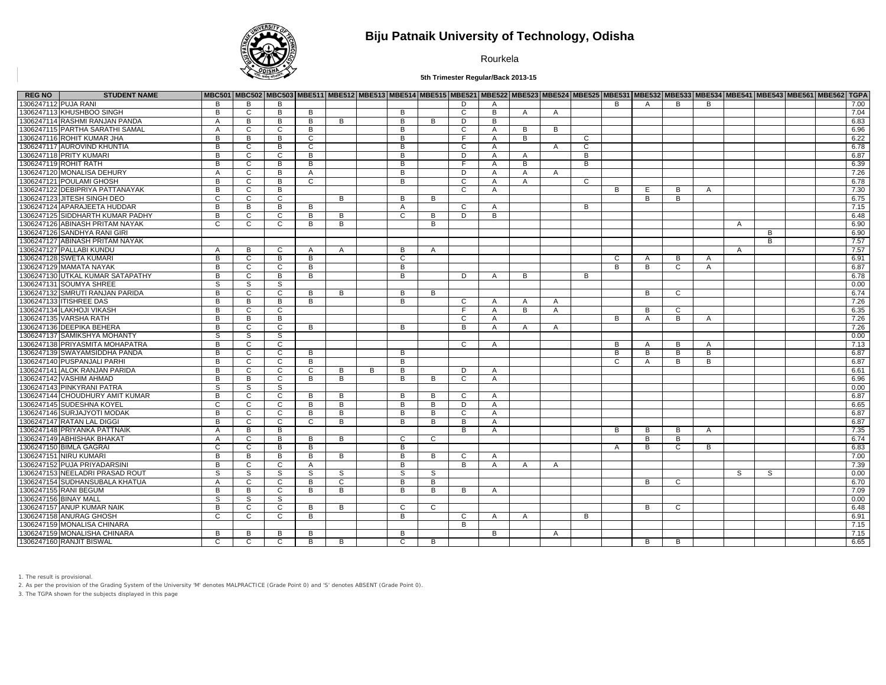

## **Biju Patnaik University of Technology, Odisha**

Rourkela

**5th Trimester Regular/Back 2013-15**

| <b>STUDENT NAME</b><br><b>REG NO</b> |                |                |                |                |   |   |                |   |    |                |              |                |                |                |              |   |              |                |    | MBC501 MBC502 MBC503 MBE511 MBE512 MBE513 MBE514 MBE515 MBE521 MBE522 MBE522 MBE523 MBE525 MBE525 MBE532 MBE532 MBE533 MBE534 MBE543 MBE543 MBE561 MBE562 TGPA |
|--------------------------------------|----------------|----------------|----------------|----------------|---|---|----------------|---|----|----------------|--------------|----------------|----------------|----------------|--------------|---|--------------|----------------|----|----------------------------------------------------------------------------------------------------------------------------------------------------------------|
| 1306247112 PUJA RANI                 | B              | B              | B              |                |   |   |                |   | D. | $\mathsf{A}$   |              |                |                | B              | $\mathsf{A}$ | B | B            |                |    | 7.00                                                                                                                                                           |
| 1306247113 KHUSHBOO SINGH            | B              | $\overline{c}$ | $\overline{B}$ | B              |   |   | B              |   | C  | $\overline{B}$ | A            | $\mathsf{A}$   |                |                |              |   |              |                |    | 7.04                                                                                                                                                           |
| 1306247114 RASHMI RANJAN PANDA       | $\overline{A}$ | B              | B              | B              | B |   | B              | B | D  | B              |              |                |                |                |              |   |              |                |    | 6.83                                                                                                                                                           |
| 1306247115 PARTHA SARATHI SAMAL      | $\overline{A}$ | C              | $\overline{c}$ | B              |   |   | B              |   | C  | $\mathsf{A}$   | В            | B              |                |                |              |   |              |                |    | 6.96                                                                                                                                                           |
| 1306247116 ROHIT KUMAR JHA           | B              | B              | B              | $\mathbf{C}$   |   |   | B              |   | F. | $\mathsf{A}$   | B            |                | C              |                |              |   |              |                |    | 6.22                                                                                                                                                           |
| 1306247117 AUROVIND KHUNTIA          | B              | C              | $\overline{B}$ | C              |   |   | B              |   | C  | A              |              | A              | C              |                |              |   |              |                |    | 6.78                                                                                                                                                           |
| 1306247118 PRITY KUMARI              | B              | $\overline{c}$ | $\overline{c}$ | B              |   |   | B              |   | D  | $\mathsf{A}$   | A            |                | B              |                |              |   |              |                |    | 6.87                                                                                                                                                           |
| 1306247119 ROHIT RATH                | B              | $\overline{c}$ | $\overline{B}$ | R              |   |   | B              |   | E  | $\mathsf{A}$   | B            |                | $\overline{B}$ |                |              |   |              |                |    | 6.39                                                                                                                                                           |
| 1306247120 MONALISA DEHURY           | A              | C              | $\overline{B}$ | A              |   |   | B              |   | D  | $\mathsf{A}$   | A            | A              |                |                |              |   |              |                |    | 7.26                                                                                                                                                           |
| 1306247121 POULAMI GHOSH             | B              | $\overline{c}$ | $\overline{B}$ | C              |   |   | B              |   | C  | A              | $\mathsf{A}$ |                | C              |                |              |   |              |                |    | 6.78                                                                                                                                                           |
| 1306247122 DEBIPRIYA PATTANAYAK      | B              | C              | $\overline{B}$ |                |   |   |                |   | C  | A              |              |                |                | B              | E            | В | A            |                |    | 7.30                                                                                                                                                           |
| 1306247123 JITESH SINGH DEO          | C              | C              | C              |                | B |   | B              | B |    |                |              |                |                |                | в            | В |              |                |    | 6.75                                                                                                                                                           |
| 1306247124 APARAJEETA HUDDAR         | B              | $\overline{B}$ | $\overline{B}$ | B              |   |   | $\mathsf{A}$   |   | C. | A              |              |                | B              |                |              |   |              |                |    | 7.15                                                                                                                                                           |
| 1306247125 SIDDHARTH KUMAR PADHY     | B              | $\mathsf{C}$   | $\mathsf{C}$   | B              | B |   | C              | B | D  | B              |              |                |                |                |              |   |              |                |    | 6.48                                                                                                                                                           |
| 1306247126 ABINASH PRITAM NAYAK      | C              | C              | C              | B              | B |   |                | B |    |                |              |                |                |                |              |   |              | A              |    | 6.90                                                                                                                                                           |
| 1306247126 SANDHYA RANI GIRI         |                |                |                |                |   |   |                |   |    |                |              |                |                |                |              |   |              |                | B  | 6.90                                                                                                                                                           |
| 1306247127 ABINASH PRITAM NAYAK      |                |                |                |                |   |   |                |   |    |                |              |                |                |                |              |   |              |                | B  | 7.57                                                                                                                                                           |
| 1306247127 PALLABI KUNDU             | $\mathsf{A}$   | B              | $\mathsf{C}$   | A              | A |   | B              | A |    |                |              |                |                |                |              |   |              | $\overline{A}$ |    | 7.57                                                                                                                                                           |
| 1306247128 SWETA KUMARI              | B              | C              | $\overline{B}$ | B              |   |   | C              |   |    |                |              |                |                | C              | $\mathsf{A}$ | B | A            |                |    | 6.91                                                                                                                                                           |
| 1306247129 MAMATA NAYAK              | B              | C              | C              | B              |   |   | B              |   |    |                |              |                |                | B              | B            | C | A            |                |    | 6.87                                                                                                                                                           |
| 1306247130 UTKAL KUMAR SATAPATHY     | B              | $\overline{c}$ | $\overline{B}$ | B              |   |   | B              |   | D  | A              | B            |                | B              |                |              |   |              |                |    | 6.78                                                                                                                                                           |
| 1306247131 SOUMYA SHREE              | S.             | S              | S              |                |   |   |                |   |    |                |              |                |                |                |              |   |              |                |    | 0.00                                                                                                                                                           |
| 1306247132 SMRUTI RANJAN PARIDA      | B              | C              | C              | B              | B |   | B              | B |    |                |              |                |                |                | B            | C |              |                |    | 6.74                                                                                                                                                           |
| 1306247133 ITISHREE DAS              | B              | B              | B              | B              |   |   | B              |   | C  | $\mathsf{A}$   | $\mathsf{A}$ | A              |                |                |              |   |              |                |    | 7.26                                                                                                                                                           |
| 1306247134 LAKHOJI VIKASH            | B              | C              | C              |                |   |   |                |   | F. | $\mathsf{A}$   | B            | $\mathsf{A}$   |                |                | B            | C |              |                |    | 6.35                                                                                                                                                           |
| 1306247135 VARSHA RATH               | B              | B              | B              |                |   |   |                |   | C  | $\mathsf{A}$   |              |                |                | B              | $\mathsf{A}$ | B | A            |                |    | 7.26                                                                                                                                                           |
| 1306247136 DEEPIKA BEHERA            | B              | C              | C              | B              |   |   | B              |   | B  | $\mathsf{A}$   | A            | A              |                |                |              |   |              |                |    | 7.26                                                                                                                                                           |
| 1306247137 SAMIKSHYA MOHANTY         | S              | S.             | S.             |                |   |   |                |   |    |                |              |                |                |                |              |   |              |                |    | 0.00                                                                                                                                                           |
| 1306247138 PRIYASMITA MOHAPATRA      | B              | C.             | $\overline{c}$ |                |   |   |                |   | C  | $\mathsf{A}$   |              |                |                | B              | A            | B | $\mathsf{A}$ |                |    | 7.13                                                                                                                                                           |
| 1306247139 SWAYAMSIDDHA PANDA        | B              | C              | $\mathsf{C}$   | B              |   |   | B              |   |    |                |              |                |                | B              | B            | B | B            |                |    | 6.87                                                                                                                                                           |
| 1306247140 PUSPANJALI PARHI          | B              | C.             | $\overline{c}$ | B              |   |   | B              |   |    |                |              |                |                | C              | A            | B | B            |                |    | 6.87                                                                                                                                                           |
| 1306247141 ALOK RANJAN PARIDA        | B              | C              | C              | C              | B | B | B              |   | D  | A              |              |                |                |                |              |   |              |                |    | 6.61                                                                                                                                                           |
| 1306247142 VASHIM AHMAD              | B              | B              | C              | B              | B |   | B              | B | C  | A              |              |                |                |                |              |   |              |                |    | 6.96                                                                                                                                                           |
| 1306247143 PINKYRANI PATRA           | S              | S.             | S.             |                |   |   |                |   |    |                |              |                |                |                |              |   |              |                |    | 0.00                                                                                                                                                           |
| 1306247144 CHOUDHURY AMIT KUMAR      | B              | C              | $\overline{c}$ | B              | B |   | <b>B</b>       | B | C. | A              |              |                |                |                |              |   |              |                |    | 6.87                                                                                                                                                           |
| 1306247145 SUDESHNA KOYEL            | C              | C              | C              | B              | B |   | B              | B | D  | A              |              |                |                |                |              |   |              |                |    | 6.65                                                                                                                                                           |
| 1306247146 SURJAJYOTI MODAK          | B              | C              | C              | B              | B |   | B              | B | C  | $\mathsf{A}$   |              |                |                |                |              |   |              |                |    | 6.87                                                                                                                                                           |
| 1306247147 RATAN LAL DIGGI           | B              | C              | C              | C              | B |   | B              | B | B  | A              |              |                |                |                |              |   |              |                |    | 6.87                                                                                                                                                           |
| 1306247148 PRIYANKA PATTNAIK         | $\overline{A}$ | B              | B              |                |   |   |                |   | B  | $\mathsf{A}$   |              |                |                | B              | B            | B |              |                |    | 7.35                                                                                                                                                           |
| 1306247149 ABHISHAK BHAKAT           | $\overline{A}$ | C              | B              | B              | B |   | C              | C |    |                |              |                |                |                | B            | B | A            |                |    | 6.74                                                                                                                                                           |
| 1306247150 BIMLA GAGRAI              | $\mathsf{C}$   | $\mathsf{C}$   | B              | B              |   |   | B              |   |    |                |              |                |                |                | B            | C | B            |                |    | 6.83                                                                                                                                                           |
| 1306247151 NIRU KUMARI               | B              | $\overline{B}$ | $\overline{B}$ | $\overline{B}$ | B |   | $\overline{B}$ | B | C  | $\mathsf{A}$   |              |                |                | $\overline{A}$ |              |   |              |                |    | 7.00                                                                                                                                                           |
| 1306247152 PUJA PRIYADARSINI         | B              | $\mathsf{C}$   | $\mathsf{C}$   |                |   |   | B              |   | B  |                |              |                |                |                |              |   |              |                |    |                                                                                                                                                                |
|                                      |                |                |                | A              |   |   |                |   |    | $\mathsf{A}$   | A            | $\mathsf{A}$   |                |                |              |   |              |                |    | 7.39                                                                                                                                                           |
| 1306247153 NEELADRI PRASAD ROUT      | S              | S              | s              | S              | S |   | S              | S |    |                |              |                |                |                |              |   |              | S              | S. | 0.00                                                                                                                                                           |
| 1306247154 SUDHANSUBALA KHATUA       | A              | $\overline{c}$ | $\overline{c}$ | B              | C |   | B              | B |    |                |              |                |                |                | R.           | C |              |                |    | 6.70                                                                                                                                                           |
| 1306247155 RANI BEGUM                | $\overline{B}$ | B              | $\overline{c}$ | $\overline{B}$ | B |   | $\overline{B}$ | B | B  | $\overline{A}$ |              |                |                |                |              |   |              |                |    | 7.09                                                                                                                                                           |
| 1306247156 BINAY MALL                | S.             | S              | S              |                |   |   |                |   |    |                |              |                |                |                |              |   |              |                |    | 0.00                                                                                                                                                           |
| 1306247157 ANUP KUMAR NAIK           | B              | $\overline{c}$ | $\overline{c}$ | B              | B |   | C              | C |    |                |              |                |                |                | B            | C |              |                |    | 6.48                                                                                                                                                           |
| 1306247158 ANURAG GHOSH              | C              | C              | $\mathsf{C}$   | B              |   |   | B              |   | C  | A              | $\mathsf{A}$ |                | B              |                |              |   |              |                |    | 6.91                                                                                                                                                           |
| 1306247159 MONALISA CHINARA          |                |                |                |                |   |   |                |   | B  |                |              |                |                |                |              |   |              |                |    | 7.15                                                                                                                                                           |
| 1306247159 MONALISHA CHINARA         | B              | B              | B              | B              |   |   | B              |   |    | B              |              | $\overline{A}$ |                |                |              |   |              |                |    | 7.15                                                                                                                                                           |
| 1306247160 RANJIT BISWAL             | C              | $\overline{c}$ | C              | B              | B |   | C              | B |    |                |              |                |                |                | в            | В |              |                |    | 6.65                                                                                                                                                           |

1. The result is provisional.

2. As per the provision of the Grading System of the University 'M' denotes MALPRACTICE (Grade Point 0) and 'S' denotes ABSENT (Grade Point 0).

3. The TGPA shown for the subjects displayed in this page